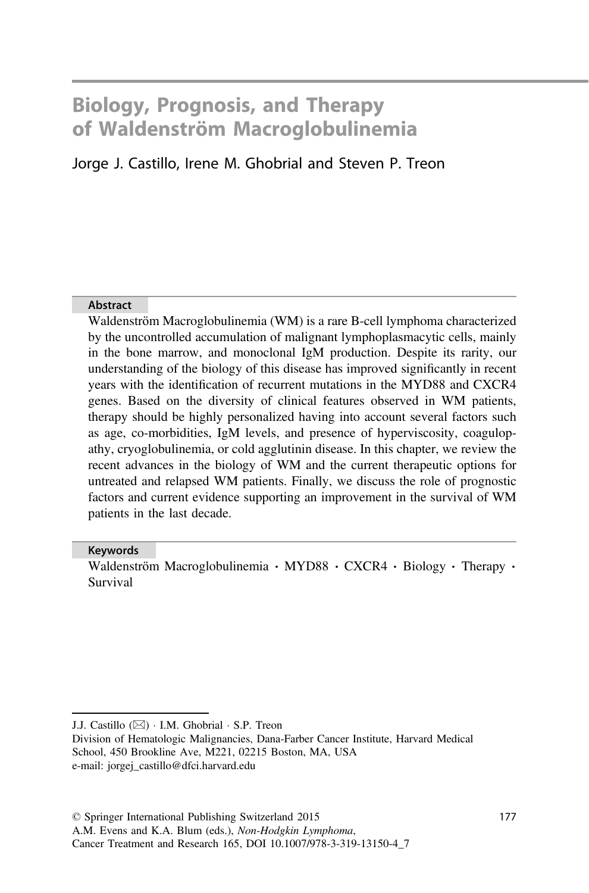# Biology, Prognosis, and Therapy of Waldenström Macroglobulinemia

# Jorge J. Castillo, Irene M. Ghobrial and Steven P. Treon

#### Abstract

Waldenström Macroglobulinemia (WM) is a rare B-cell lymphoma characterized by the uncontrolled accumulation of malignant lymphoplasmacytic cells, mainly in the bone marrow, and monoclonal IgM production. Despite its rarity, our understanding of the biology of this disease has improved significantly in recent years with the identification of recurrent mutations in the MYD88 and CXCR4 genes. Based on the diversity of clinical features observed in WM patients, therapy should be highly personalized having into account several factors such as age, co-morbidities, IgM levels, and presence of hyperviscosity, coagulopathy, cryoglobulinemia, or cold agglutinin disease. In this chapter, we review the recent advances in the biology of WM and the current therapeutic options for untreated and relapsed WM patients. Finally, we discuss the role of prognostic factors and current evidence supporting an improvement in the survival of WM patients in the last decade.

#### Keywords

Waldenström Macroglobulinemia · MYD88 · CXCR4 · Biology · Therapy · Survival

J.J. Castillo ( $\boxtimes$ ) · I.M. Ghobrial · S.P. Treon

Division of Hematologic Malignancies, Dana-Farber Cancer Institute, Harvard Medical School, 450 Brookline Ave, M221, 02215 Boston, MA, USA e-mail: jorgej\_castillo@dfci.harvard.edu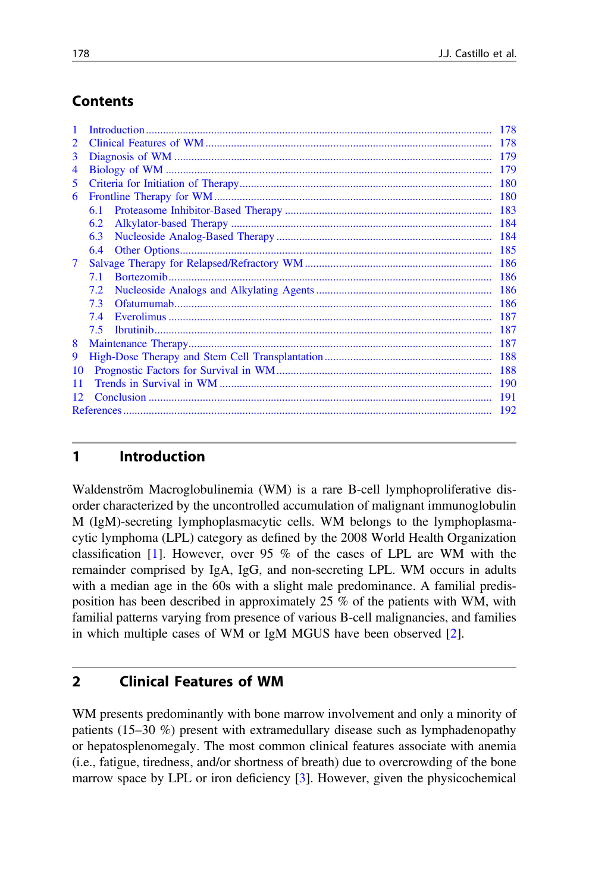# Contents

| 1  | 178        |            |  |  |  |  |  |
|----|------------|------------|--|--|--|--|--|
| 2  | 178        |            |  |  |  |  |  |
| 3  | 179        |            |  |  |  |  |  |
| 4  | 179        |            |  |  |  |  |  |
| 5. | 180        |            |  |  |  |  |  |
| 6  |            | <b>180</b> |  |  |  |  |  |
|    | 6.1        | 183        |  |  |  |  |  |
|    | 6.2        | 184        |  |  |  |  |  |
|    | 6.3        | 184        |  |  |  |  |  |
|    | 6.4        | 185        |  |  |  |  |  |
| 7  | 186        |            |  |  |  |  |  |
|    | 7.1        | 186        |  |  |  |  |  |
|    | 7.2        | -186       |  |  |  |  |  |
|    | 7.3        | -186       |  |  |  |  |  |
|    | 7.4        | 187        |  |  |  |  |  |
|    | 7.5        | 187        |  |  |  |  |  |
| 8  | 187        |            |  |  |  |  |  |
| 9  | 188        |            |  |  |  |  |  |
| 10 | 188        |            |  |  |  |  |  |
| 11 | <b>190</b> |            |  |  |  |  |  |
|    | 191        |            |  |  |  |  |  |
|    | 192        |            |  |  |  |  |  |
|    |            |            |  |  |  |  |  |

# 1 Introduction

Waldenström Macroglobulinemia (WM) is a rare B-cell lymphoproliferative disorder characterized by the uncontrolled accumulation of malignant immunoglobulin M (IgM)-secreting lymphoplasmacytic cells. WM belongs to the lymphoplasmacytic lymphoma (LPL) category as defined by the 2008 World Health Organization classification [\[1](#page-15-0)]. However, over 95 % of the cases of LPL are WM with the remainder comprised by IgA, IgG, and non-secreting LPL. WM occurs in adults with a median age in the 60s with a slight male predominance. A familial predisposition has been described in approximately 25 % of the patients with WM, with familial patterns varying from presence of various B-cell malignancies, and families in which multiple cases of WM or IgM MGUS have been observed [\[2](#page-15-0)].

## 2 Clinical Features of WM

WM presents predominantly with bone marrow involvement and only a minority of patients (15–30 %) present with extramedullary disease such as lymphadenopathy or hepatosplenomegaly. The most common clinical features associate with anemia (i.e., fatigue, tiredness, and/or shortness of breath) due to overcrowding of the bone marrow space by LPL or iron deficiency [\[3](#page-15-0)]. However, given the physicochemical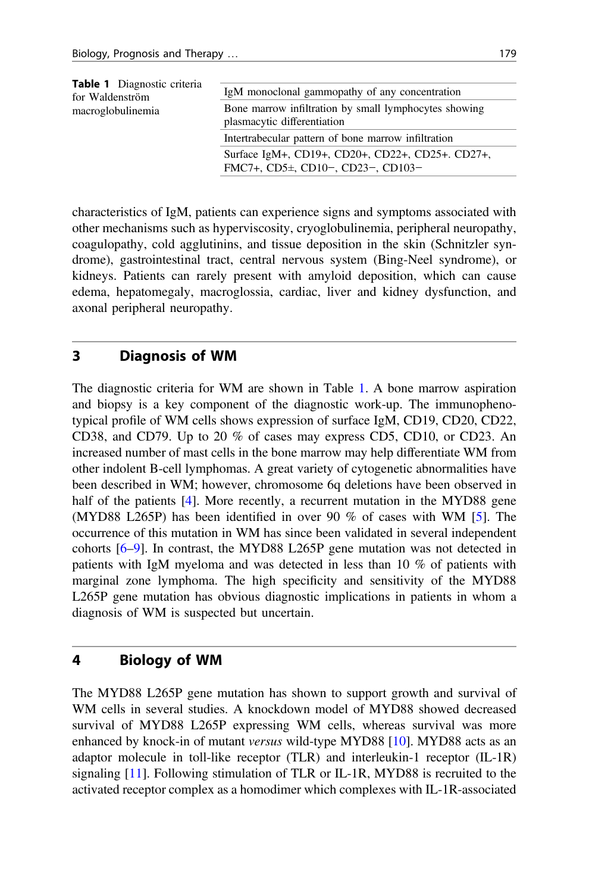<span id="page-2-0"></span>

| <b>Table 1</b> Diagnostic criteria<br>for Waldenström | IgM monoclonal gammopathy of any concentration                                              |  |  |  |
|-------------------------------------------------------|---------------------------------------------------------------------------------------------|--|--|--|
| macroglobulinemia                                     | Bone marrow infiltration by small lymphocytes showing<br>plasmacytic differentiation        |  |  |  |
|                                                       | Intertrabecular pattern of bone marrow infiltration                                         |  |  |  |
|                                                       | Surface IgM+, CD19+, CD20+, CD22+, CD25+, CD27+,<br>FMC7+, CD5 $\pm$ , CD10-, CD23-, CD103- |  |  |  |

characteristics of IgM, patients can experience signs and symptoms associated with other mechanisms such as hyperviscosity, cryoglobulinemia, peripheral neuropathy, coagulopathy, cold agglutinins, and tissue deposition in the skin (Schnitzler syndrome), gastrointestinal tract, central nervous system (Bing-Neel syndrome), or kidneys. Patients can rarely present with amyloid deposition, which can cause edema, hepatomegaly, macroglossia, cardiac, liver and kidney dysfunction, and axonal peripheral neuropathy.

#### 3 Diagnosis of WM

The diagnostic criteria for WM are shown in Table 1. A bone marrow aspiration and biopsy is a key component of the diagnostic work-up. The immunophenotypical profile of WM cells shows expression of surface IgM, CD19, CD20, CD22, CD38, and CD79. Up to 20 % of cases may express CD5, CD10, or CD23. An increased number of mast cells in the bone marrow may help differentiate WM from other indolent B-cell lymphomas. A great variety of cytogenetic abnormalities have been described in WM; however, chromosome 6q deletions have been observed in half of the patients [\[4](#page-15-0)]. More recently, a recurrent mutation in the MYD88 gene (MYD88 L265P) has been identified in over 90 % of cases with WM [\[5](#page-15-0)]. The occurrence of this mutation in WM has since been validated in several independent cohorts [[6](#page-15-0)–[9\]](#page-15-0). In contrast, the MYD88 L265P gene mutation was not detected in patients with IgM myeloma and was detected in less than 10 % of patients with marginal zone lymphoma. The high specificity and sensitivity of the MYD88 L265P gene mutation has obvious diagnostic implications in patients in whom a diagnosis of WM is suspected but uncertain.

## 4 Biology of WM

The MYD88 L265P gene mutation has shown to support growth and survival of WM cells in several studies. A knockdown model of MYD88 showed decreased survival of MYD88 L265P expressing WM cells, whereas survival was more enhanced by knock-in of mutant versus wild-type MYD88 [\[10](#page-15-0)]. MYD88 acts as an adaptor molecule in toll-like receptor (TLR) and interleukin-1 receptor (IL-1R) signaling [\[11](#page-15-0)]. Following stimulation of TLR or IL-1R, MYD88 is recruited to the activated receptor complex as a homodimer which complexes with IL-1R-associated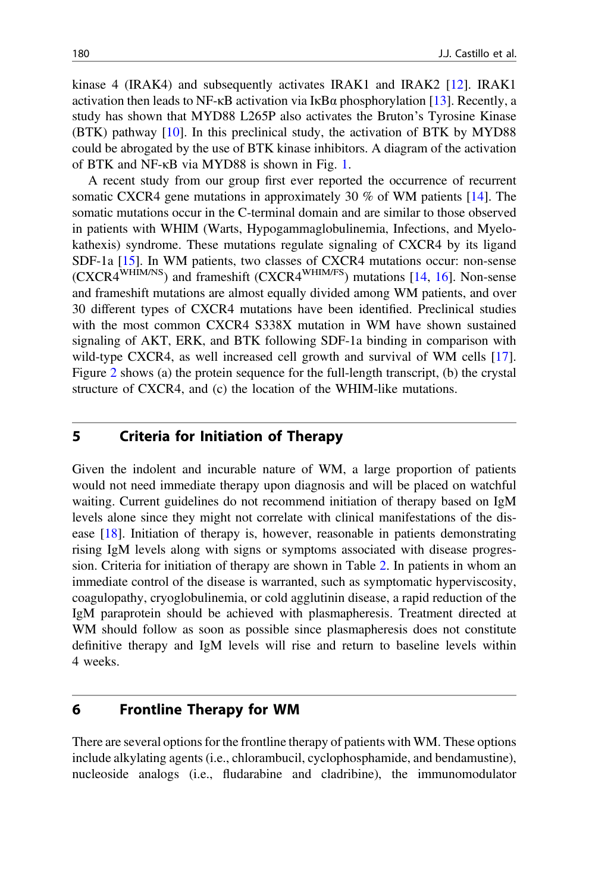<span id="page-3-0"></span>kinase 4 (IRAK4) and subsequently activates IRAK1 and IRAK2 [\[12](#page-15-0)]. IRAK1 activation then leads to NF- $\kappa$ B activation via  $I\kappa$ B $\alpha$  phosphorylation [\[13](#page-15-0)]. Recently, a study has shown that MYD88 L265P also activates the Bruton's Tyrosine Kinase (BTK) pathway [\[10](#page-15-0)]. In this preclinical study, the activation of BTK by MYD88 could be abrogated by the use of BTK kinase inhibitors. A diagram of the activation of BTK and NF-κB via MYD88 is shown in Fig. [1.](#page-4-0)

A recent study from our group first ever reported the occurrence of recurrent somatic CXCR4 gene mutations in approximately 30 % of WM patients [\[14](#page-15-0)]. The somatic mutations occur in the C-terminal domain and are similar to those observed in patients with WHIM (Warts, Hypogammaglobulinemia, Infections, and Myelokathexis) syndrome. These mutations regulate signaling of CXCR4 by its ligand SDF-1a [\[15](#page-15-0)]. In WM patients, two classes of CXCR4 mutations occur: non-sense (CXCR4WHIM/NS) and frameshift (CXCR4WHIM/FS) mutations [[14,](#page-15-0) [16\]](#page-16-0). Non-sense and frameshift mutations are almost equally divided among WM patients, and over 30 different types of CXCR4 mutations have been identified. Preclinical studies with the most common CXCR4 S338X mutation in WM have shown sustained signaling of AKT, ERK, and BTK following SDF-1a binding in comparison with wild-type CXCR4, as well increased cell growth and survival of WM cells [[17\]](#page-16-0). Figure [2](#page-5-0) shows (a) the protein sequence for the full-length transcript, (b) the crystal structure of CXCR4, and (c) the location of the WHIM-like mutations.

#### 5 Criteria for Initiation of Therapy

Given the indolent and incurable nature of WM, a large proportion of patients would not need immediate therapy upon diagnosis and will be placed on watchful waiting. Current guidelines do not recommend initiation of therapy based on IgM levels alone since they might not correlate with clinical manifestations of the disease [[18\]](#page-16-0). Initiation of therapy is, however, reasonable in patients demonstrating rising IgM levels along with signs or symptoms associated with disease progression. Criteria for initiation of therapy are shown in Table [2](#page-5-0). In patients in whom an immediate control of the disease is warranted, such as symptomatic hyperviscosity, coagulopathy, cryoglobulinemia, or cold agglutinin disease, a rapid reduction of the IgM paraprotein should be achieved with plasmapheresis. Treatment directed at WM should follow as soon as possible since plasmapheresis does not constitute definitive therapy and IgM levels will rise and return to baseline levels within 4 weeks.

#### 6 Frontline Therapy for WM

There are several options for the frontline therapy of patients with WM. These options include alkylating agents (i.e., chlorambucil, cyclophosphamide, and bendamustine), nucleoside analogs (i.e., fludarabine and cladribine), the immunomodulator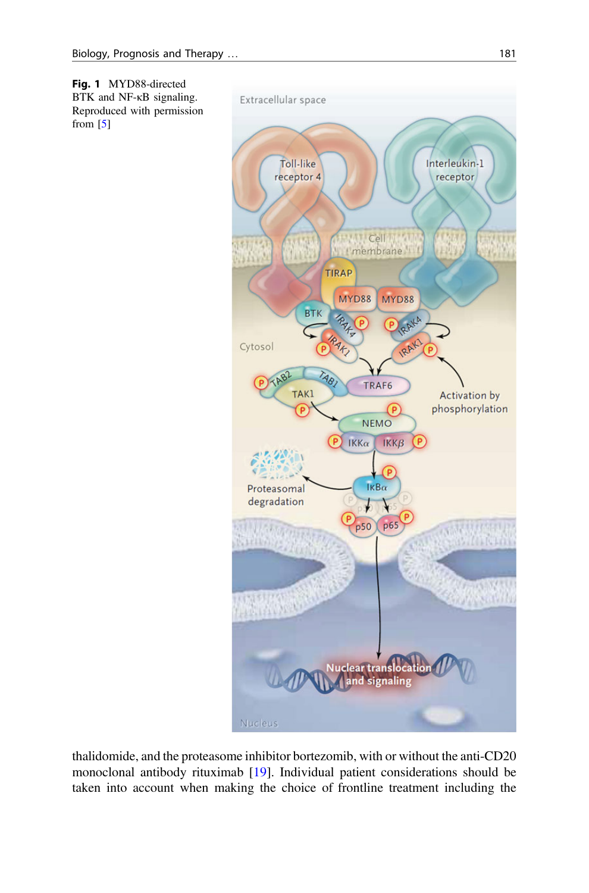<span id="page-4-0"></span>

thalidomide, and the proteasome inhibitor bortezomib, with or without the anti-CD20 monoclonal antibody rituximab [\[19](#page-16-0)]. Individual patient considerations should be taken into account when making the choice of frontline treatment including the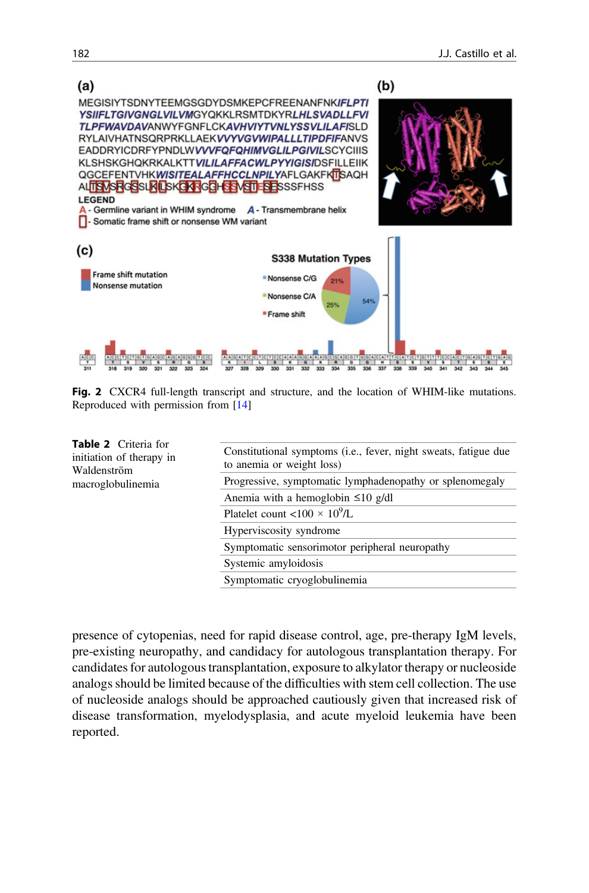<span id="page-5-0"></span>

Fig. 2 CXCR4 full-length transcript and structure, and the location of WHIM-like mutations. Reproduced with permission from [\[14\]](#page-15-0)

| <b>Table 2</b> Criteria for<br>initiation of therapy in<br>Waldenström | Constitutional symptoms (i.e., fever, night sweats, fatigue due<br>to anemia or weight loss) |  |  |  |
|------------------------------------------------------------------------|----------------------------------------------------------------------------------------------|--|--|--|
| macroglobulinemia                                                      | Progressive, symptomatic lymphadenopathy or splenomegaly                                     |  |  |  |
|                                                                        | Anemia with a hemoglobin $\leq 10$ g/dl                                                      |  |  |  |
|                                                                        | Platelet count <100 $\times$ 10 <sup>9</sup> /L                                              |  |  |  |
|                                                                        | Hyperviscosity syndrome                                                                      |  |  |  |
|                                                                        | Symptomatic sensorimotor peripheral neuropathy                                               |  |  |  |
|                                                                        | Systemic amyloidosis                                                                         |  |  |  |
|                                                                        | Symptomatic cryoglobulinemia                                                                 |  |  |  |

presence of cytopenias, need for rapid disease control, age, pre-therapy IgM levels, pre-existing neuropathy, and candidacy for autologous transplantation therapy. For candidates for autologous transplantation, exposure to alkylator therapy or nucleoside analogs should be limited because of the difficulties with stem cell collection. The use of nucleoside analogs should be approached cautiously given that increased risk of disease transformation, myelodysplasia, and acute myeloid leukemia have been reported.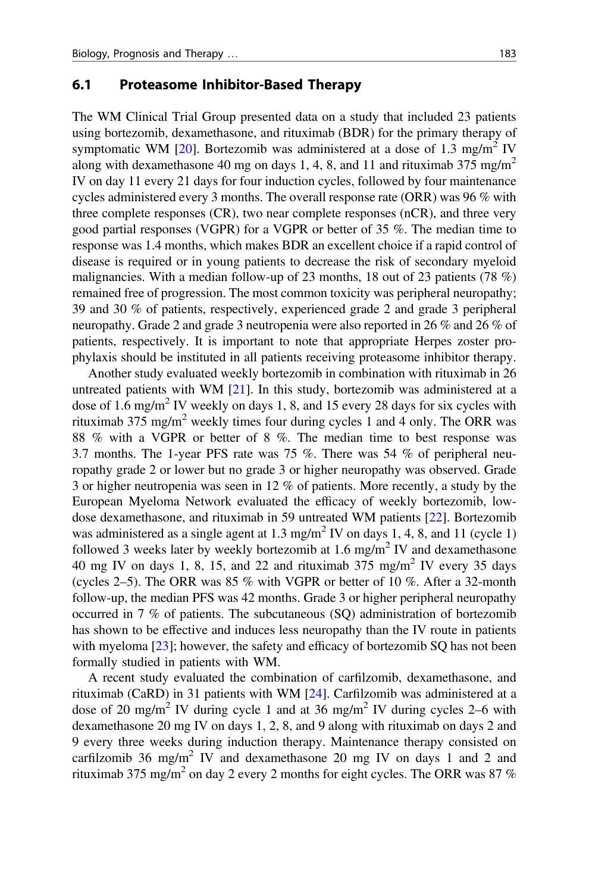#### <span id="page-6-0"></span>6.1 Proteasome Inhibitor-Based Therapy

The WM Clinical Trial Group presented data on a study that included 23 patients using bortezomib, dexamethasone, and rituximab (BDR) for the primary therapy of symptomatic WM [\[20](#page-16-0)]. Bortezomib was administered at a dose of 1.3 mg/m<sup>2</sup> IV along with dexamethasone 40 mg on days 1, 4, 8, and 11 and rituximab 375 mg/m<sup>2</sup> IV on day 11 every 21 days for four induction cycles, followed by four maintenance cycles administered every 3 months. The overall response rate  $(ORR)$  was 96 % with three complete responses (CR), two near complete responses (nCR), and three very good partial responses (VGPR) for a VGPR or better of 35 %. The median time to response was 1.4 months, which makes BDR an excellent choice if a rapid control of disease is required or in young patients to decrease the risk of secondary myeloid malignancies. With a median follow-up of 23 months, 18 out of 23 patients (78 %) remained free of progression. The most common toxicity was peripheral neuropathy; 39 and 30 % of patients, respectively, experienced grade 2 and grade 3 peripheral neuropathy. Grade 2 and grade 3 neutropenia were also reported in 26 % and 26 % of patients, respectively. It is important to note that appropriate Herpes zoster prophylaxis should be instituted in all patients receiving proteasome inhibitor therapy.

Another study evaluated weekly bortezomib in combination with rituximab in 26 untreated patients with WM [[21\]](#page-16-0). In this study, bortezomib was administered at a dose of 1.6 mg/m<sup>2</sup> IV weekly on days 1, 8, and 15 every 28 days for six cycles with rituximab 375 mg/m<sup>2</sup> weekly times four during cycles 1 and 4 only. The ORR was 88 % with a VGPR or better of 8 %. The median time to best response was 3.7 months. The 1-year PFS rate was 75 %. There was 54 % of peripheral neuropathy grade 2 or lower but no grade 3 or higher neuropathy was observed. Grade 3 or higher neutropenia was seen in 12 % of patients. More recently, a study by the European Myeloma Network evaluated the efficacy of weekly bortezomib, lowdose dexamethasone, and rituximab in 59 untreated WM patients [\[22](#page-16-0)]. Bortezomib was administered as a single agent at  $1.3 \text{ mg/m}^2$  IV on days 1, 4, 8, and 11 (cycle 1) followed 3 weeks later by weekly bortezomib at  $1.6$  mg/m<sup>2</sup> IV and dexamethasone 40 mg IV on days 1, 8, 15, and 22 and rituximab  $375 \text{ mg/m}^2$  IV every 35 days (cycles 2–5). The ORR was 85 % with VGPR or better of 10 %. After a 32-month follow-up, the median PFS was 42 months. Grade 3 or higher peripheral neuropathy occurred in 7 % of patients. The subcutaneous (SQ) administration of bortezomib has shown to be effective and induces less neuropathy than the IV route in patients with myeloma [\[23](#page-16-0)]; however, the safety and efficacy of bortezomib SQ has not been formally studied in patients with WM.

A recent study evaluated the combination of carfilzomib, dexamethasone, and rituximab (CaRD) in 31 patients with WM [[24\]](#page-16-0). Carfilzomib was administered at a dose of 20 mg/m<sup>2</sup> IV during cycle 1 and at 36 mg/m<sup>2</sup> IV during cycles 2–6 with dexamethasone 20 mg IV on days 1, 2, 8, and 9 along with rituximab on days 2 and 9 every three weeks during induction therapy. Maintenance therapy consisted on carfilzomib 36 mg/m2 IV and dexamethasone 20 mg IV on days 1 and 2 and rituximab 375 mg/m2 on day 2 every 2 months for eight cycles. The ORR was 87 %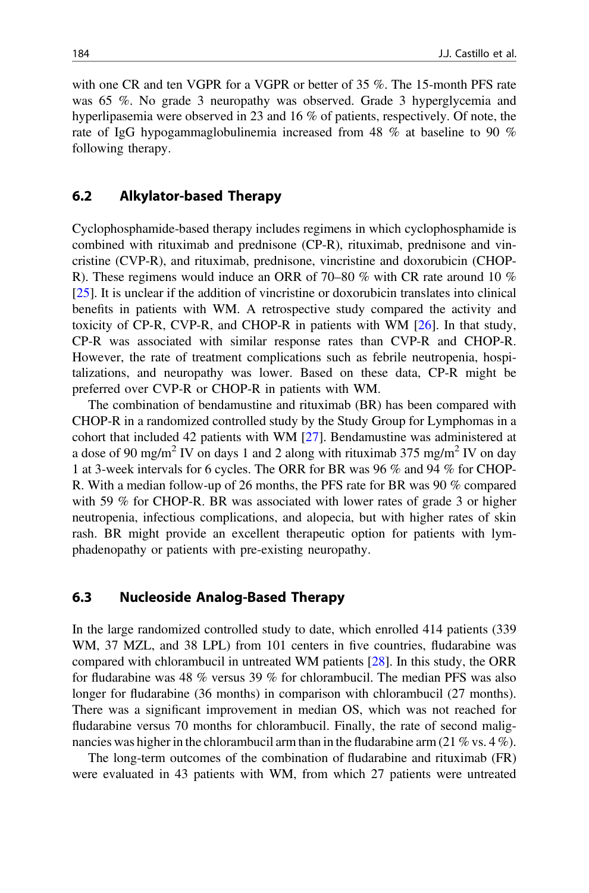<span id="page-7-0"></span>with one CR and ten VGPR for a VGPR or better of 35 %. The 15-month PFS rate was 65 %. No grade 3 neuropathy was observed. Grade 3 hyperglycemia and hyperlipasemia were observed in 23 and 16 % of patients, respectively. Of note, the rate of IgG hypogammaglobulinemia increased from 48 % at baseline to 90 % following therapy.

#### 6.2 Alkylator-based Therapy

Cyclophosphamide-based therapy includes regimens in which cyclophosphamide is combined with rituximab and prednisone (CP-R), rituximab, prednisone and vincristine (CVP-R), and rituximab, prednisone, vincristine and doxorubicin (CHOP-R). These regimens would induce an ORR of 70–80 % with CR rate around 10 % [\[25](#page-16-0)]. It is unclear if the addition of vincristine or doxorubicin translates into clinical benefits in patients with WM. A retrospective study compared the activity and toxicity of CP-R, CVP-R, and CHOP-R in patients with WM [\[26](#page-16-0)]. In that study, CP-R was associated with similar response rates than CVP-R and CHOP-R. However, the rate of treatment complications such as febrile neutropenia, hospitalizations, and neuropathy was lower. Based on these data, CP-R might be preferred over CVP-R or CHOP-R in patients with WM.

The combination of bendamustine and rituximab (BR) has been compared with CHOP-R in a randomized controlled study by the Study Group for Lymphomas in a cohort that included 42 patients with WM [\[27](#page-16-0)]. Bendamustine was administered at a dose of 90 mg/m<sup>2</sup> IV on days 1 and 2 along with rituximab 375 mg/m<sup>2</sup> IV on day 1 at 3-week intervals for 6 cycles. The ORR for BR was 96 % and 94 % for CHOP-R. With a median follow-up of 26 months, the PFS rate for BR was 90 % compared with 59 % for CHOP-R. BR was associated with lower rates of grade 3 or higher neutropenia, infectious complications, and alopecia, but with higher rates of skin rash. BR might provide an excellent therapeutic option for patients with lymphadenopathy or patients with pre-existing neuropathy.

#### 6.3 Nucleoside Analog-Based Therapy

In the large randomized controlled study to date, which enrolled 414 patients (339 WM, 37 MZL, and 38 LPL) from 101 centers in five countries, fludarabine was compared with chlorambucil in untreated WM patients [[28\]](#page-16-0). In this study, the ORR for fludarabine was 48 % versus 39 % for chlorambucil. The median PFS was also longer for fludarabine (36 months) in comparison with chlorambucil (27 months). There was a significant improvement in median OS, which was not reached for fludarabine versus 70 months for chlorambucil. Finally, the rate of second malignancies was higher in the chlorambucil arm than in the fludarabine arm  $(21\% \text{ vs. } 4\%)$ .

The long-term outcomes of the combination of fludarabine and rituximab (FR) were evaluated in 43 patients with WM, from which 27 patients were untreated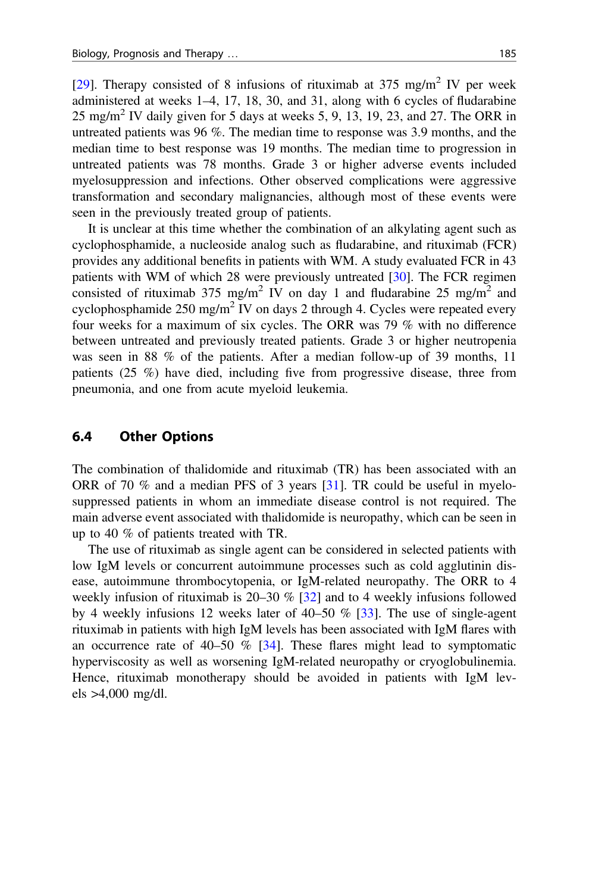<span id="page-8-0"></span>[\[29](#page-16-0)]. Therapy consisted of 8 infusions of rituximab at  $375 \text{ mg/m}^2$  IV per week administered at weeks 1–4, 17, 18, 30, and 31, along with 6 cycles of fludarabine  $25 \text{ mg/m}^2$  IV daily given for 5 days at weeks 5, 9, 13, 19, 23, and 27. The ORR in untreated patients was 96 %. The median time to response was 3.9 months, and the median time to best response was 19 months. The median time to progression in untreated patients was 78 months. Grade 3 or higher adverse events included myelosuppression and infections. Other observed complications were aggressive transformation and secondary malignancies, although most of these events were seen in the previously treated group of patients.

It is unclear at this time whether the combination of an alkylating agent such as cyclophosphamide, a nucleoside analog such as fludarabine, and rituximab (FCR) provides any additional benefits in patients with WM. A study evaluated FCR in 43 patients with WM of which 28 were previously untreated [\[30](#page-16-0)]. The FCR regimen consisted of rituximab 375 mg/m<sup>2</sup> IV on day 1 and fludarabine 25 mg/m<sup>2</sup> and cyclophosphamide  $250 \text{ mg/m}^2$  IV on days 2 through 4. Cycles were repeated every four weeks for a maximum of six cycles. The ORR was 79 % with no difference between untreated and previously treated patients. Grade 3 or higher neutropenia was seen in 88 % of the patients. After a median follow-up of 39 months, 11 patients (25 %) have died, including five from progressive disease, three from pneumonia, and one from acute myeloid leukemia.

#### 6.4 Other Options

The combination of thalidomide and rituximab (TR) has been associated with an ORR of 70 % and a median PFS of 3 years [\[31](#page-16-0)]. TR could be useful in myelosuppressed patients in whom an immediate disease control is not required. The main adverse event associated with thalidomide is neuropathy, which can be seen in up to 40 % of patients treated with TR.

The use of rituximab as single agent can be considered in selected patients with low IgM levels or concurrent autoimmune processes such as cold agglutinin disease, autoimmune thrombocytopenia, or IgM-related neuropathy. The ORR to 4 weekly infusion of rituximab is  $20-30\%$  [\[32](#page-16-0)] and to 4 weekly infusions followed by 4 weekly infusions 12 weeks later of 40–50 % [\[33](#page-17-0)]. The use of single-agent rituximab in patients with high IgM levels has been associated with IgM flares with an occurrence rate of  $40-50\%$  [\[34](#page-17-0)]. These flares might lead to symptomatic hyperviscosity as well as worsening IgM-related neuropathy or cryoglobulinemia. Hence, rituximab monotherapy should be avoided in patients with IgM levels >4,000 mg/dl.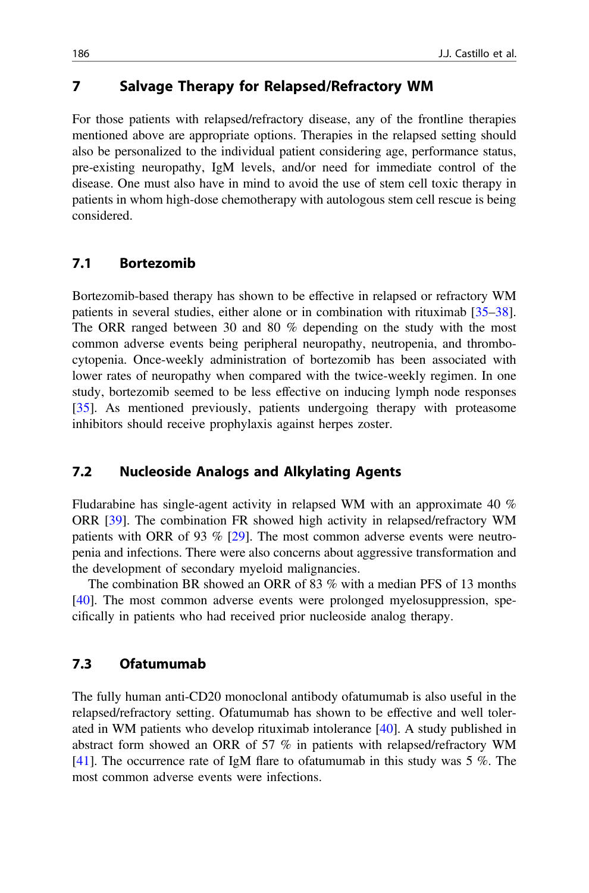## <span id="page-9-0"></span>7 Salvage Therapy for Relapsed/Refractory WM

For those patients with relapsed/refractory disease, any of the frontline therapies mentioned above are appropriate options. Therapies in the relapsed setting should also be personalized to the individual patient considering age, performance status, pre-existing neuropathy, IgM levels, and/or need for immediate control of the disease. One must also have in mind to avoid the use of stem cell toxic therapy in patients in whom high-dose chemotherapy with autologous stem cell rescue is being considered.

#### 7.1 Bortezomib

Bortezomib-based therapy has shown to be effective in relapsed or refractory WM patients in several studies, either alone or in combination with rituximab [[35](#page-17-0)–[38\]](#page-17-0). The ORR ranged between 30 and 80 % depending on the study with the most common adverse events being peripheral neuropathy, neutropenia, and thrombocytopenia. Once-weekly administration of bortezomib has been associated with lower rates of neuropathy when compared with the twice-weekly regimen. In one study, bortezomib seemed to be less effective on inducing lymph node responses [\[35](#page-17-0)]. As mentioned previously, patients undergoing therapy with proteasome inhibitors should receive prophylaxis against herpes zoster.

## 7.2 Nucleoside Analogs and Alkylating Agents

Fludarabine has single-agent activity in relapsed WM with an approximate 40 % ORR [\[39](#page-17-0)]. The combination FR showed high activity in relapsed/refractory WM patients with ORR of 93 % [\[29](#page-16-0)]. The most common adverse events were neutropenia and infections. There were also concerns about aggressive transformation and the development of secondary myeloid malignancies.

The combination BR showed an ORR of 83 % with a median PFS of 13 months [\[40](#page-17-0)]. The most common adverse events were prolonged myelosuppression, specifically in patients who had received prior nucleoside analog therapy.

#### 7.3 Ofatumumab

The fully human anti-CD20 monoclonal antibody ofatumumab is also useful in the relapsed/refractory setting. Ofatumumab has shown to be effective and well tolerated in WM patients who develop rituximab intolerance [\[40](#page-17-0)]. A study published in abstract form showed an ORR of 57 % in patients with relapsed/refractory WM [\[41](#page-17-0)]. The occurrence rate of IgM flare to of atumumab in this study was  $5\%$ . The most common adverse events were infections.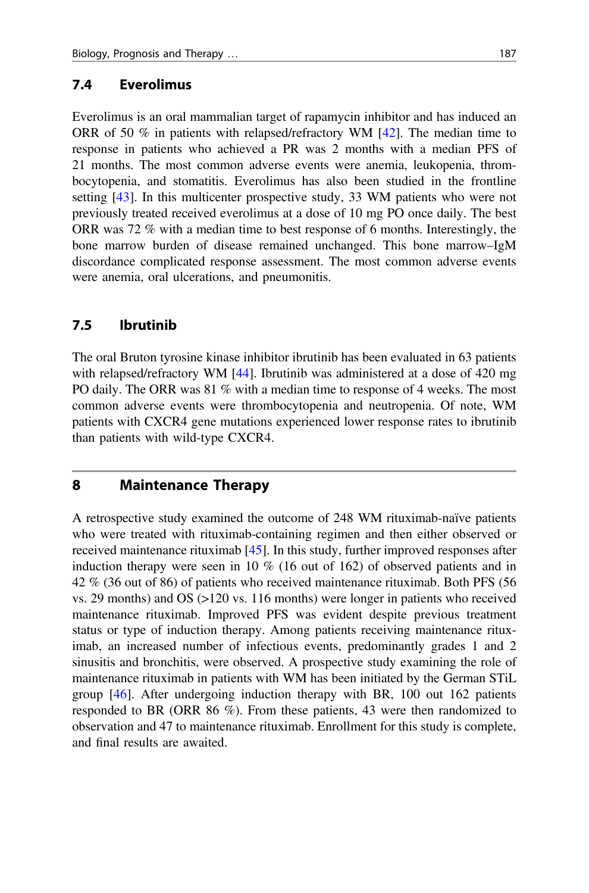#### <span id="page-10-0"></span>7.4 Everolimus

Everolimus is an oral mammalian target of rapamycin inhibitor and has induced an ORR of 50 % in patients with relapsed/refractory WM [\[42](#page-17-0)]. The median time to response in patients who achieved a PR was 2 months with a median PFS of 21 months. The most common adverse events were anemia, leukopenia, thrombocytopenia, and stomatitis. Everolimus has also been studied in the frontline setting [[43\]](#page-17-0). In this multicenter prospective study, 33 WM patients who were not previously treated received everolimus at a dose of 10 mg PO once daily. The best ORR was 72 % with a median time to best response of 6 months. Interestingly, the bone marrow burden of disease remained unchanged. This bone marrow–IgM discordance complicated response assessment. The most common adverse events were anemia, oral ulcerations, and pneumonitis.

#### 7.5 Ibrutinib

The oral Bruton tyrosine kinase inhibitor ibrutinib has been evaluated in 63 patients with relapsed/refractory WM [\[44](#page-17-0)]. Ibrutinib was administered at a dose of 420 mg PO daily. The ORR was 81 % with a median time to response of 4 weeks. The most common adverse events were thrombocytopenia and neutropenia. Of note, WM patients with CXCR4 gene mutations experienced lower response rates to ibrutinib than patients with wild-type CXCR4.

## 8 Maintenance Therapy

A retrospective study examined the outcome of 248 WM rituximab-naïve patients who were treated with rituximab-containing regimen and then either observed or received maintenance rituximab [[45\]](#page-17-0). In this study, further improved responses after induction therapy were seen in 10 % (16 out of 162) of observed patients and in 42 % (36 out of 86) of patients who received maintenance rituximab. Both PFS (56 vs. 29 months) and OS (>120 vs. 116 months) were longer in patients who received maintenance rituximab. Improved PFS was evident despite previous treatment status or type of induction therapy. Among patients receiving maintenance rituximab, an increased number of infectious events, predominantly grades 1 and 2 sinusitis and bronchitis, were observed. A prospective study examining the role of maintenance rituximab in patients with WM has been initiated by the German STiL group [[46\]](#page-17-0). After undergoing induction therapy with BR, 100 out 162 patients responded to BR (ORR 86 %). From these patients, 43 were then randomized to observation and 47 to maintenance rituximab. Enrollment for this study is complete, and final results are awaited.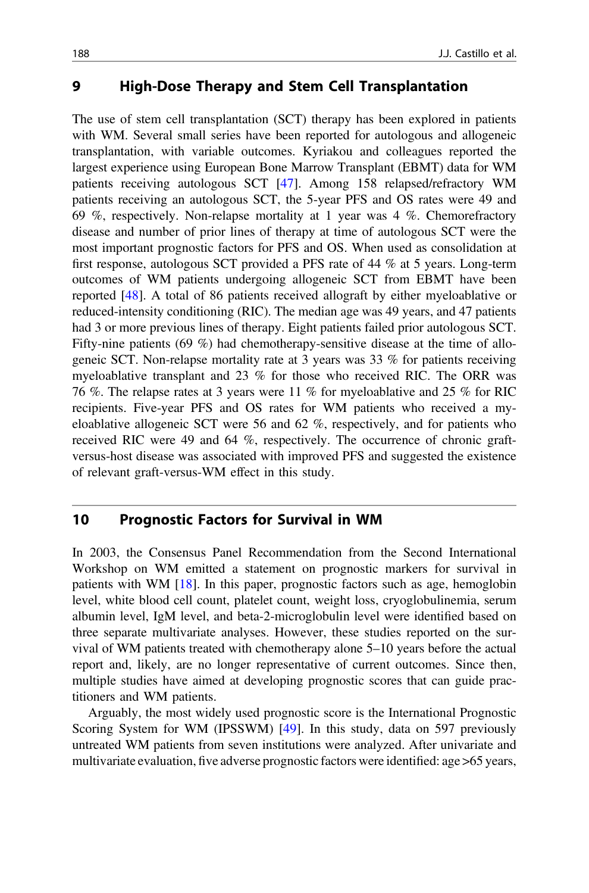#### <span id="page-11-0"></span>9 High-Dose Therapy and Stem Cell Transplantation

The use of stem cell transplantation (SCT) therapy has been explored in patients with WM. Several small series have been reported for autologous and allogeneic transplantation, with variable outcomes. Kyriakou and colleagues reported the largest experience using European Bone Marrow Transplant (EBMT) data for WM patients receiving autologous SCT [\[47](#page-17-0)]. Among 158 relapsed/refractory WM patients receiving an autologous SCT, the 5-year PFS and OS rates were 49 and 69 %, respectively. Non-relapse mortality at 1 year was 4 %. Chemorefractory disease and number of prior lines of therapy at time of autologous SCT were the most important prognostic factors for PFS and OS. When used as consolidation at first response, autologous SCT provided a PFS rate of 44 % at 5 years. Long-term outcomes of WM patients undergoing allogeneic SCT from EBMT have been reported [[48\]](#page-17-0). A total of 86 patients received allograft by either myeloablative or reduced-intensity conditioning (RIC). The median age was 49 years, and 47 patients had 3 or more previous lines of therapy. Eight patients failed prior autologous SCT. Fifty-nine patients (69 %) had chemotherapy-sensitive disease at the time of allogeneic SCT. Non-relapse mortality rate at 3 years was 33 % for patients receiving myeloablative transplant and 23 % for those who received RIC. The ORR was 76 %. The relapse rates at 3 years were 11 % for myeloablative and 25 % for RIC recipients. Five-year PFS and OS rates for WM patients who received a myeloablative allogeneic SCT were 56 and 62 %, respectively, and for patients who received RIC were 49 and 64 %, respectively. The occurrence of chronic graftversus-host disease was associated with improved PFS and suggested the existence of relevant graft-versus-WM effect in this study.

## 10 Prognostic Factors for Survival in WM

In 2003, the Consensus Panel Recommendation from the Second International Workshop on WM emitted a statement on prognostic markers for survival in patients with WM [[18\]](#page-16-0). In this paper, prognostic factors such as age, hemoglobin level, white blood cell count, platelet count, weight loss, cryoglobulinemia, serum albumin level, IgM level, and beta-2-microglobulin level were identified based on three separate multivariate analyses. However, these studies reported on the survival of WM patients treated with chemotherapy alone 5–10 years before the actual report and, likely, are no longer representative of current outcomes. Since then, multiple studies have aimed at developing prognostic scores that can guide practitioners and WM patients.

Arguably, the most widely used prognostic score is the International Prognostic Scoring System for WM (IPSSWM) [\[49](#page-17-0)]. In this study, data on 597 previously untreated WM patients from seven institutions were analyzed. After univariate and multivariate evaluation, five adverse prognostic factors were identified: age >65 years,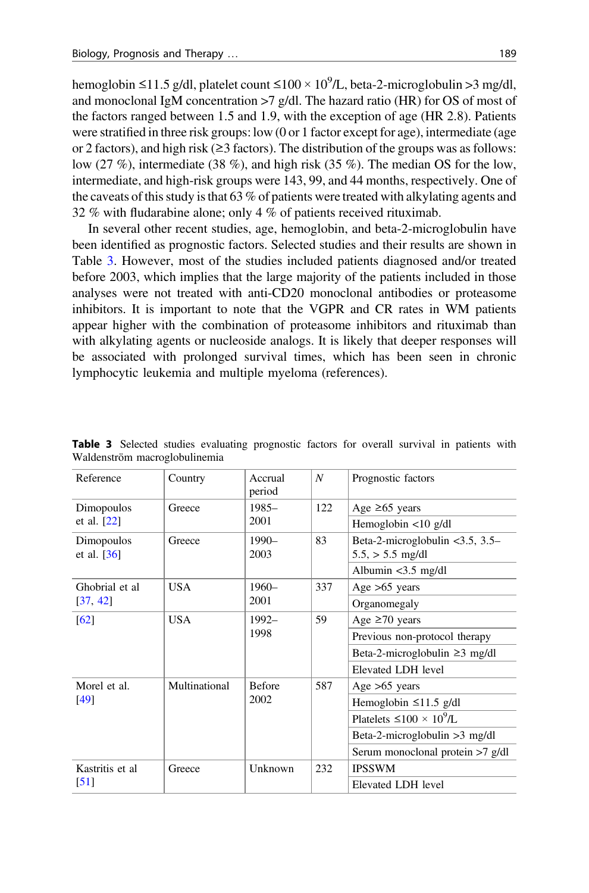hemoglobin ≤11.5 g/dl, platelet count ≤100 × 10<sup>9</sup>/L, beta-2-microglobulin >3 mg/dl, and monoclonal IgM concentration  $>7$  g/dl. The hazard ratio (HR) for OS of most of the factors ranged between 1.5 and 1.9, with the exception of age (HR 2.8). Patients were stratified in three risk groups: low (0 or 1 factor except for age), intermediate (age or 2 factors), and high risk ( $\geq$ 3 factors). The distribution of the groups was as follows: low (27 %), intermediate (38 %), and high risk (35 %). The median OS for the low, intermediate, and high-risk groups were 143, 99, and 44 months, respectively. One of the caveats of this study is that 63 % of patients were treated with alkylating agents and 32 % with fludarabine alone; only 4 % of patients received rituximab.

In several other recent studies, age, hemoglobin, and beta-2-microglobulin have been identified as prognostic factors. Selected studies and their results are shown in Table 3. However, most of the studies included patients diagnosed and/or treated before 2003, which implies that the large majority of the patients included in those analyses were not treated with anti-CD20 monoclonal antibodies or proteasome inhibitors. It is important to note that the VGPR and CR rates in WM patients appear higher with the combination of proteasome inhibitors and rituximab than with alkylating agents or nucleoside analogs. It is likely that deeper responses will be associated with prolonged survival times, which has been seen in chronic lymphocytic leukemia and multiple myeloma (references).

| Reference                   | Country       | Accrual<br>period     | N   | Prognostic factors                                          |
|-----------------------------|---------------|-----------------------|-----|-------------------------------------------------------------|
| Dimopoulos                  | Greece        | $1985-$<br>2001       | 122 | Age $\geq 65$ years                                         |
| et al. $[22]$               |               |                       |     | Hemoglobin $\langle 10 \rangle$ g/dl                        |
| Dimopoulos<br>et al. $[36]$ | Greece        | $1990-$<br>2003       | 83  | Beta-2-microglobulin $<$ 3.5, 3.5–<br>$5.5$ , $> 5.5$ mg/dl |
|                             |               |                       |     | Albumin $<$ 3.5 mg/dl                                       |
| Ghobrial et al              | <b>USA</b>    | $1960-$<br>2001       | 337 | Age $>65$ years                                             |
| [37, 42]                    |               |                       |     | Organomegaly                                                |
| [62]                        | <b>USA</b>    | $1992 -$<br>1998      | 59  | Age $\geq 70$ years                                         |
|                             |               |                       |     | Previous non-protocol therapy                               |
|                             |               |                       |     | Beta-2-microglobulin $\geq$ 3 mg/dl                         |
|                             |               |                       |     | Elevated LDH level                                          |
| Morel et al.                | Multinational | <b>Before</b><br>2002 | 587 | Age $>65$ years                                             |
| [49]                        |               |                       |     | Hemoglobin $\leq$ 11.5 g/dl                                 |
|                             |               |                       |     | Platelets $\leq 100 \times 10^9$ /L                         |
|                             |               |                       |     | Beta-2-microglobulin $>3$ mg/dl                             |
|                             |               |                       |     | Serum monoclonal protein >7 g/dl                            |
| Kastritis et al             | Greece        | Unknown               | 232 | <b>IPSSWM</b>                                               |
| $\lceil 51 \rceil$          |               |                       |     | Elevated LDH level                                          |

Table 3 Selected studies evaluating prognostic factors for overall survival in patients with Waldenström macroglobulinemia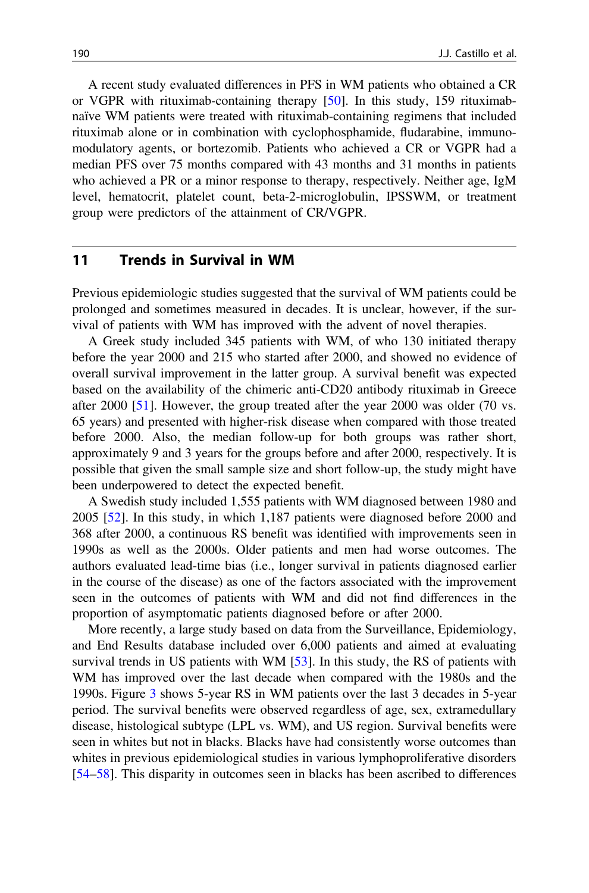<span id="page-13-0"></span>A recent study evaluated differences in PFS in WM patients who obtained a CR or VGPR with rituximab-containing therapy [[50\]](#page-17-0). In this study, 159 rituximabnaïve WM patients were treated with rituximab-containing regimens that included rituximab alone or in combination with cyclophosphamide, fludarabine, immunomodulatory agents, or bortezomib. Patients who achieved a CR or VGPR had a median PFS over 75 months compared with 43 months and 31 months in patients who achieved a PR or a minor response to therapy, respectively. Neither age, IgM level, hematocrit, platelet count, beta-2-microglobulin, IPSSWM, or treatment group were predictors of the attainment of CR/VGPR.

#### 11 Trends in Survival in WM

Previous epidemiologic studies suggested that the survival of WM patients could be prolonged and sometimes measured in decades. It is unclear, however, if the survival of patients with WM has improved with the advent of novel therapies.

A Greek study included 345 patients with WM, of who 130 initiated therapy before the year 2000 and 215 who started after 2000, and showed no evidence of overall survival improvement in the latter group. A survival benefit was expected based on the availability of the chimeric anti-CD20 antibody rituximab in Greece after 2000 [[51\]](#page-17-0). However, the group treated after the year 2000 was older (70 vs. 65 years) and presented with higher-risk disease when compared with those treated before 2000. Also, the median follow-up for both groups was rather short, approximately 9 and 3 years for the groups before and after 2000, respectively. It is possible that given the small sample size and short follow-up, the study might have been underpowered to detect the expected benefit.

A Swedish study included 1,555 patients with WM diagnosed between 1980 and 2005 [\[52](#page-18-0)]. In this study, in which 1,187 patients were diagnosed before 2000 and 368 after 2000, a continuous RS benefit was identified with improvements seen in 1990s as well as the 2000s. Older patients and men had worse outcomes. The authors evaluated lead-time bias (i.e., longer survival in patients diagnosed earlier in the course of the disease) as one of the factors associated with the improvement seen in the outcomes of patients with WM and did not find differences in the proportion of asymptomatic patients diagnosed before or after 2000.

More recently, a large study based on data from the Surveillance, Epidemiology, and End Results database included over 6,000 patients and aimed at evaluating survival trends in US patients with WM [[53\]](#page-18-0). In this study, the RS of patients with WM has improved over the last decade when compared with the 1980s and the 1990s. Figure [3](#page-14-0) shows 5-year RS in WM patients over the last 3 decades in 5-year period. The survival benefits were observed regardless of age, sex, extramedullary disease, histological subtype (LPL vs. WM), and US region. Survival benefits were seen in whites but not in blacks. Blacks have had consistently worse outcomes than whites in previous epidemiological studies in various lymphoproliferative disorders [\[54](#page-18-0)–[58](#page-18-0)]. This disparity in outcomes seen in blacks has been ascribed to differences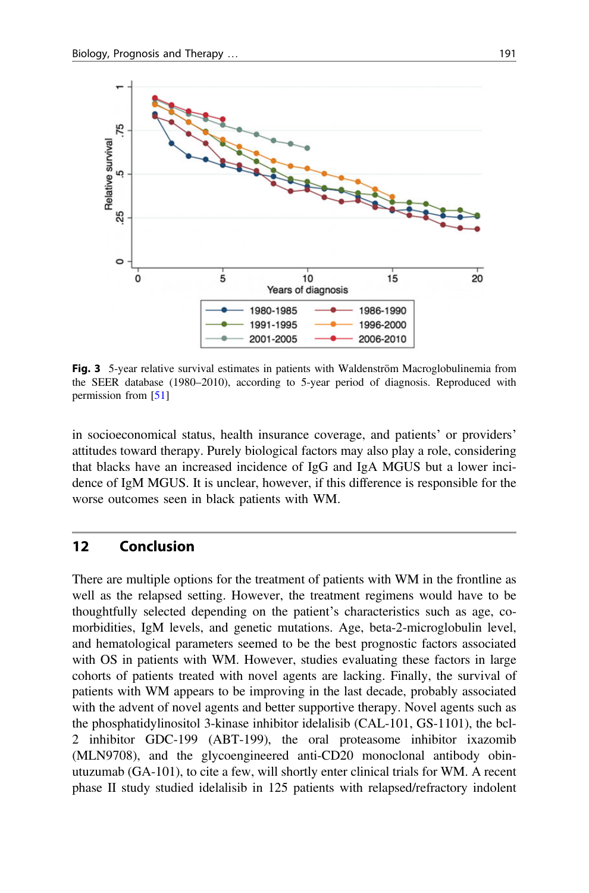<span id="page-14-0"></span>

Fig. 3 5-year relative survival estimates in patients with Waldenström Macroglobulinemia from the SEER database (1980–2010), according to 5-year period of diagnosis. Reproduced with permission from [\[51\]](#page-17-0)

in socioeconomical status, health insurance coverage, and patients' or providers' attitudes toward therapy. Purely biological factors may also play a role, considering that blacks have an increased incidence of IgG and IgA MGUS but a lower incidence of IgM MGUS. It is unclear, however, if this difference is responsible for the worse outcomes seen in black patients with WM.

#### 12 Conclusion

There are multiple options for the treatment of patients with WM in the frontline as well as the relapsed setting. However, the treatment regimens would have to be thoughtfully selected depending on the patient's characteristics such as age, comorbidities, IgM levels, and genetic mutations. Age, beta-2-microglobulin level, and hematological parameters seemed to be the best prognostic factors associated with OS in patients with WM. However, studies evaluating these factors in large cohorts of patients treated with novel agents are lacking. Finally, the survival of patients with WM appears to be improving in the last decade, probably associated with the advent of novel agents and better supportive therapy. Novel agents such as the phosphatidylinositol 3-kinase inhibitor idelalisib (CAL-101, GS-1101), the bcl-2 inhibitor GDC-199 (ABT-199), the oral proteasome inhibitor ixazomib (MLN9708), and the glycoengineered anti-CD20 monoclonal antibody obinutuzumab (GA-101), to cite a few, will shortly enter clinical trials for WM. A recent phase II study studied idelalisib in 125 patients with relapsed/refractory indolent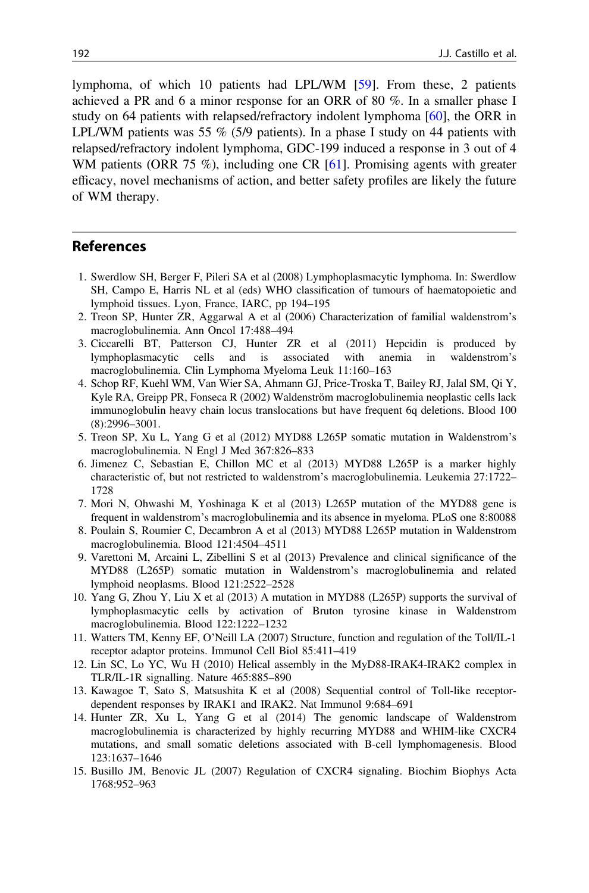<span id="page-15-0"></span>lymphoma, of which 10 patients had LPL/WM [\[59](#page-18-0)]. From these, 2 patients achieved a PR and 6 a minor response for an ORR of 80 %. In a smaller phase I study on 64 patients with relapsed/refractory indolent lymphoma [\[60](#page-18-0)], the ORR in LPL/WM patients was 55  $\%$  (5/9 patients). In a phase I study on 44 patients with relapsed/refractory indolent lymphoma, GDC-199 induced a response in 3 out of 4 WM patients (ORR 75 %), including one CR  $[61]$  $[61]$ . Promising agents with greater efficacy, novel mechanisms of action, and better safety profiles are likely the future of WM therapy.

#### References

- 1. Swerdlow SH, Berger F, Pileri SA et al (2008) Lymphoplasmacytic lymphoma. In: Swerdlow SH, Campo E, Harris NL et al (eds) WHO classification of tumours of haematopoietic and lymphoid tissues. Lyon, France, IARC, pp 194–195
- 2. Treon SP, Hunter ZR, Aggarwal A et al (2006) Characterization of familial waldenstrom's macroglobulinemia. Ann Oncol 17:488–494
- 3. Ciccarelli BT, Patterson CJ, Hunter ZR et al (2011) Hepcidin is produced by lymphoplasmacytic cells and is associated with anemia in waldenstrom's macroglobulinemia. Clin Lymphoma Myeloma Leuk 11:160–163
- 4. Schop RF, Kuehl WM, Van Wier SA, Ahmann GJ, Price-Troska T, Bailey RJ, Jalal SM, Qi Y, Kyle RA, Greipp PR, Fonseca R (2002) Waldenström macroglobulinemia neoplastic cells lack immunoglobulin heavy chain locus translocations but have frequent 6q deletions. Blood 100 (8):2996–3001.
- 5. Treon SP, Xu L, Yang G et al (2012) MYD88 L265P somatic mutation in Waldenstrom's macroglobulinemia. N Engl J Med 367:826–833
- 6. Jimenez C, Sebastian E, Chillon MC et al (2013) MYD88 L265P is a marker highly characteristic of, but not restricted to waldenstrom's macroglobulinemia. Leukemia 27:1722– 1728
- 7. Mori N, Ohwashi M, Yoshinaga K et al (2013) L265P mutation of the MYD88 gene is frequent in waldenstrom's macroglobulinemia and its absence in myeloma. PLoS one 8:80088
- 8. Poulain S, Roumier C, Decambron A et al (2013) MYD88 L265P mutation in Waldenstrom macroglobulinemia. Blood 121:4504–4511
- 9. Varettoni M, Arcaini L, Zibellini S et al (2013) Prevalence and clinical significance of the MYD88 (L265P) somatic mutation in Waldenstrom's macroglobulinemia and related lymphoid neoplasms. Blood 121:2522–2528
- 10. Yang G, Zhou Y, Liu X et al (2013) A mutation in MYD88 (L265P) supports the survival of lymphoplasmacytic cells by activation of Bruton tyrosine kinase in Waldenstrom macroglobulinemia. Blood 122:1222–1232
- 11. Watters TM, Kenny EF, O'Neill LA (2007) Structure, function and regulation of the Toll/IL-1 receptor adaptor proteins. Immunol Cell Biol 85:411–419
- 12. Lin SC, Lo YC, Wu H (2010) Helical assembly in the MyD88-IRAK4-IRAK2 complex in TLR/IL-1R signalling. Nature 465:885–890
- 13. Kawagoe T, Sato S, Matsushita K et al (2008) Sequential control of Toll-like receptordependent responses by IRAK1 and IRAK2. Nat Immunol 9:684–691
- 14. Hunter ZR, Xu L, Yang G et al (2014) The genomic landscape of Waldenstrom macroglobulinemia is characterized by highly recurring MYD88 and WHIM-like CXCR4 mutations, and small somatic deletions associated with B-cell lymphomagenesis. Blood 123:1637–1646
- 15. Busillo JM, Benovic JL (2007) Regulation of CXCR4 signaling. Biochim Biophys Acta 1768:952–963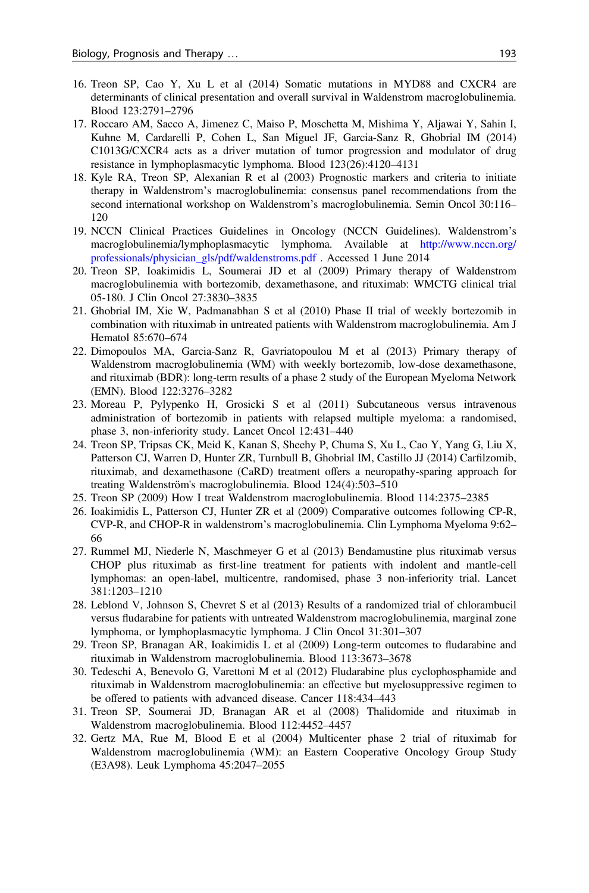- <span id="page-16-0"></span>16. Treon SP, Cao Y, Xu L et al (2014) Somatic mutations in MYD88 and CXCR4 are determinants of clinical presentation and overall survival in Waldenstrom macroglobulinemia. Blood 123:2791–2796
- 17. Roccaro AM, Sacco A, Jimenez C, Maiso P, Moschetta M, Mishima Y, Aljawai Y, Sahin I, Kuhne M, Cardarelli P, Cohen L, San Miguel JF, Garcia-Sanz R, Ghobrial IM (2014) C1013G/CXCR4 acts as a driver mutation of tumor progression and modulator of drug resistance in lymphoplasmacytic lymphoma. Blood 123(26):4120–4131
- 18. Kyle RA, Treon SP, Alexanian R et al (2003) Prognostic markers and criteria to initiate therapy in Waldenstrom's macroglobulinemia: consensus panel recommendations from the second international workshop on Waldenstrom's macroglobulinemia. Semin Oncol 30:116– 120
- 19. NCCN Clinical Practices Guidelines in Oncology (NCCN Guidelines). Waldenstrom's macroglobulinemia/lymphoplasmacytic lymphoma. Available at [http://www.nccn.org/](http://www.nccn.org/professionals/physician_gls/pdf/waldenstroms.pdf) [professionals/physician\\_gls/pdf/waldenstroms.pdf](http://www.nccn.org/professionals/physician_gls/pdf/waldenstroms.pdf) . Accessed 1 June 2014
- 20. Treon SP, Ioakimidis L, Soumerai JD et al (2009) Primary therapy of Waldenstrom macroglobulinemia with bortezomib, dexamethasone, and rituximab: WMCTG clinical trial 05-180. J Clin Oncol 27:3830–3835
- 21. Ghobrial IM, Xie W, Padmanabhan S et al (2010) Phase II trial of weekly bortezomib in combination with rituximab in untreated patients with Waldenstrom macroglobulinemia. Am J Hematol 85:670–674
- 22. Dimopoulos MA, Garcia-Sanz R, Gavriatopoulou M et al (2013) Primary therapy of Waldenstrom macroglobulinemia (WM) with weekly bortezomib, low-dose dexamethasone, and rituximab (BDR): long-term results of a phase 2 study of the European Myeloma Network (EMN). Blood 122:3276–3282
- 23. Moreau P, Pylypenko H, Grosicki S et al (2011) Subcutaneous versus intravenous administration of bortezomib in patients with relapsed multiple myeloma: a randomised, phase 3, non-inferiority study. Lancet Oncol 12:431–440
- 24. Treon SP, Tripsas CK, Meid K, Kanan S, Sheehy P, Chuma S, Xu L, Cao Y, Yang G, Liu X, Patterson CJ, Warren D, Hunter ZR, Turnbull B, Ghobrial IM, Castillo JJ (2014) Carfilzomib, rituximab, and dexamethasone (CaRD) treatment offers a neuropathy-sparing approach for treating Waldenström's macroglobulinemia. Blood 124(4):503–510
- 25. Treon SP (2009) How I treat Waldenstrom macroglobulinemia. Blood 114:2375–2385
- 26. Ioakimidis L, Patterson CJ, Hunter ZR et al (2009) Comparative outcomes following CP-R, CVP-R, and CHOP-R in waldenstrom's macroglobulinemia. Clin Lymphoma Myeloma 9:62– 66
- 27. Rummel MJ, Niederle N, Maschmeyer G et al (2013) Bendamustine plus rituximab versus CHOP plus rituximab as first-line treatment for patients with indolent and mantle-cell lymphomas: an open-label, multicentre, randomised, phase 3 non-inferiority trial. Lancet 381:1203–1210
- 28. Leblond V, Johnson S, Chevret S et al (2013) Results of a randomized trial of chlorambucil versus fludarabine for patients with untreated Waldenstrom macroglobulinemia, marginal zone lymphoma, or lymphoplasmacytic lymphoma. J Clin Oncol 31:301–307
- 29. Treon SP, Branagan AR, Ioakimidis L et al (2009) Long-term outcomes to fludarabine and rituximab in Waldenstrom macroglobulinemia. Blood 113:3673–3678
- 30. Tedeschi A, Benevolo G, Varettoni M et al (2012) Fludarabine plus cyclophosphamide and rituximab in Waldenstrom macroglobulinemia: an effective but myelosuppressive regimen to be offered to patients with advanced disease. Cancer 118:434–443
- 31. Treon SP, Soumerai JD, Branagan AR et al (2008) Thalidomide and rituximab in Waldenstrom macroglobulinemia. Blood 112:4452–4457
- 32. Gertz MA, Rue M, Blood E et al (2004) Multicenter phase 2 trial of rituximab for Waldenstrom macroglobulinemia (WM): an Eastern Cooperative Oncology Group Study (E3A98). Leuk Lymphoma 45:2047–2055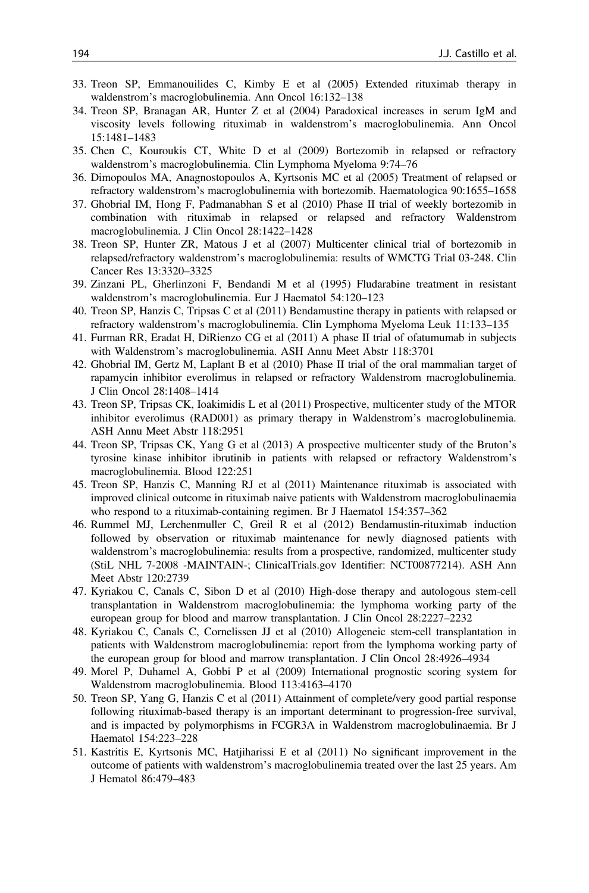- <span id="page-17-0"></span>33. Treon SP, Emmanouilides C, Kimby E et al (2005) Extended rituximab therapy in waldenstrom's macroglobulinemia. Ann Oncol 16:132–138
- 34. Treon SP, Branagan AR, Hunter Z et al (2004) Paradoxical increases in serum IgM and viscosity levels following rituximab in waldenstrom's macroglobulinemia. Ann Oncol 15:1481–1483
- 35. Chen C, Kouroukis CT, White D et al (2009) Bortezomib in relapsed or refractory waldenstrom's macroglobulinemia. Clin Lymphoma Myeloma 9:74–76
- 36. Dimopoulos MA, Anagnostopoulos A, Kyrtsonis MC et al (2005) Treatment of relapsed or refractory waldenstrom's macroglobulinemia with bortezomib. Haematologica 90:1655–1658
- 37. Ghobrial IM, Hong F, Padmanabhan S et al (2010) Phase II trial of weekly bortezomib in combination with rituximab in relapsed or relapsed and refractory Waldenstrom macroglobulinemia. J Clin Oncol 28:1422–1428
- 38. Treon SP, Hunter ZR, Matous J et al (2007) Multicenter clinical trial of bortezomib in relapsed/refractory waldenstrom's macroglobulinemia: results of WMCTG Trial 03-248. Clin Cancer Res 13:3320–3325
- 39. Zinzani PL, Gherlinzoni F, Bendandi M et al (1995) Fludarabine treatment in resistant waldenstrom's macroglobulinemia. Eur J Haematol 54:120–123
- 40. Treon SP, Hanzis C, Tripsas C et al (2011) Bendamustine therapy in patients with relapsed or refractory waldenstrom's macroglobulinemia. Clin Lymphoma Myeloma Leuk 11:133–135
- 41. Furman RR, Eradat H, DiRienzo CG et al (2011) A phase II trial of ofatumumab in subjects with Waldenstrom's macroglobulinemia. ASH Annu Meet Abstr 118:3701
- 42. Ghobrial IM, Gertz M, Laplant B et al (2010) Phase II trial of the oral mammalian target of rapamycin inhibitor everolimus in relapsed or refractory Waldenstrom macroglobulinemia. J Clin Oncol 28:1408–1414
- 43. Treon SP, Tripsas CK, Ioakimidis L et al (2011) Prospective, multicenter study of the MTOR inhibitor everolimus (RAD001) as primary therapy in Waldenstrom's macroglobulinemia. ASH Annu Meet Abstr 118:2951
- 44. Treon SP, Tripsas CK, Yang G et al (2013) A prospective multicenter study of the Bruton's tyrosine kinase inhibitor ibrutinib in patients with relapsed or refractory Waldenstrom's macroglobulinemia. Blood 122:251
- 45. Treon SP, Hanzis C, Manning RJ et al (2011) Maintenance rituximab is associated with improved clinical outcome in rituximab naive patients with Waldenstrom macroglobulinaemia who respond to a rituximab-containing regimen. Br J Haematol 154:357–362
- 46. Rummel MJ, Lerchenmuller C, Greil R et al (2012) Bendamustin-rituximab induction followed by observation or rituximab maintenance for newly diagnosed patients with waldenstrom's macroglobulinemia: results from a prospective, randomized, multicenter study (StiL NHL 7-2008 -MAINTAIN-; ClinicalTrials.gov Identifier: NCT00877214). ASH Ann Meet Abstr 120:2739
- 47. Kyriakou C, Canals C, Sibon D et al (2010) High-dose therapy and autologous stem-cell transplantation in Waldenstrom macroglobulinemia: the lymphoma working party of the european group for blood and marrow transplantation. J Clin Oncol 28:2227–2232
- 48. Kyriakou C, Canals C, Cornelissen JJ et al (2010) Allogeneic stem-cell transplantation in patients with Waldenstrom macroglobulinemia: report from the lymphoma working party of the european group for blood and marrow transplantation. J Clin Oncol 28:4926–4934
- 49. Morel P, Duhamel A, Gobbi P et al (2009) International prognostic scoring system for Waldenstrom macroglobulinemia. Blood 113:4163–4170
- 50. Treon SP, Yang G, Hanzis C et al (2011) Attainment of complete/very good partial response following rituximab-based therapy is an important determinant to progression-free survival, and is impacted by polymorphisms in FCGR3A in Waldenstrom macroglobulinaemia. Br J Haematol 154:223–228
- 51. Kastritis E, Kyrtsonis MC, Hatjiharissi E et al (2011) No significant improvement in the outcome of patients with waldenstrom's macroglobulinemia treated over the last 25 years. Am J Hematol 86:479–483